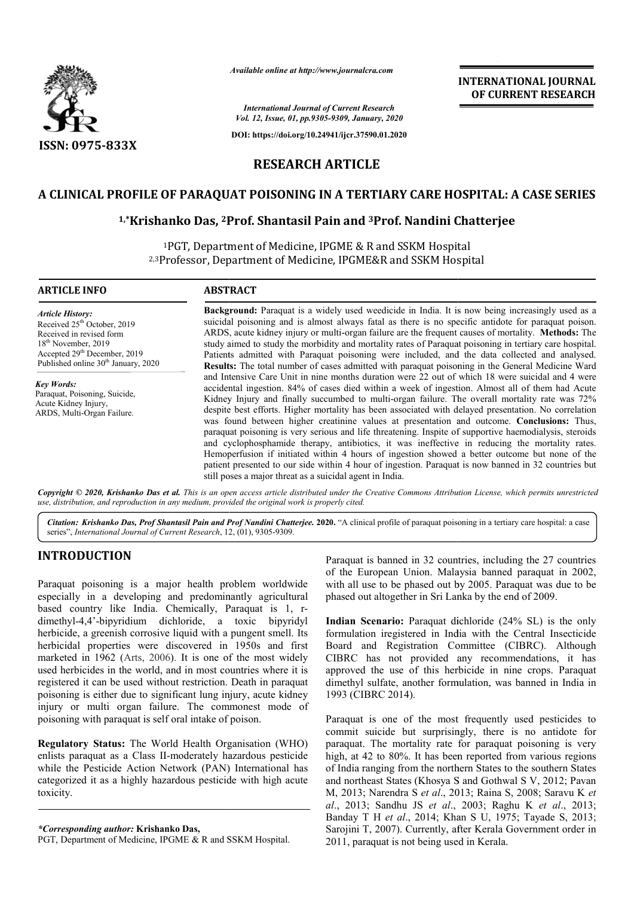

*Available online at http://www.journalcra.com*

*International Journal of Current Research Vol. 12, Issue, 01, pp.9305-9309, January, 2020*

**DOI: https://doi.org/10.24941/ijcr.37590.01.2020**

# **INTERNATIONAL JOURNAL OF CURRENT RESEARCH**

# **RESEARCH ARTICLE**

## **A CLINICAL PROFILE OF PARAQUAT POISONING IN A TERTIARY CARE HOSPITAL: A CASE SERIES**

## **1,\*Krishanko Das, 2Prof Prof. Shantasil Pain and 3Prof. Nandini Chatterjee**

1PGT, Department of Medicine, IPGME & R and SSKM Hospital <sup>1</sup>PGT, Department of Medicine, IPGME & R and SSKM Hospital<br><sup>2,3</sup>Professor, Department of Medicine, IPGME&R and SSKM Hospital

#### **ARTICLE INFO ABSTRACT**

*Article History:* Received 25<sup>th</sup> October, 2019 Received in revised form 18th November, 2019 Accepted 29th December, 2019 Published online 30<sup>th</sup> January, 2020

*Key Words:* Paraquat, Poisoning, Suicide, Acute Kidney Injury, ARDS, Multi-Organ Failure.

**Background:** Paraquat is a widely used weedicide in India. It is now being increasingly used as a suicidal poisoning and is almost always fatal as there is no specific antidote for paraquat poison. **Background:** Paraquat is a widely used weedicide in India. It is now being increasingly used as a suicidal poisoning and is almost always fatal as there is no specific antidote for paraquat poison. ARDS, acute kidney inju study aimed to study the morbidity and mortality rates of Paraquat poisoning in tertiary care hospital. Patients admitted with Paraquat poisoning were included, and the data collected and analysed. **Results:** The total number of cases admitted with paraquat poisoning in the General Medicine Ward and Intensive Care Unit in nine months duration were 22 out of which 18 were suicidal and 4 were accidental ingestion. 84% of cases died within a week of ingestion. Almost all of them ha Kidney Injury and finally succumbed to multi-organ failure. The overall mortality rate was 72% despite best efforts. Higher mortality has been associated with delayed presentation. No correlation was found between higher creatinine values at presentation and outcome. paraquat poisoning is very serious and life threatening. Inspite of supportive haemodialysis, steroids and cyclophosphamide therapy, antibiotics, it was ineffective in reducing the mortality rates. Hemoperfusion if initiated within 4 hours of ingestion showed a better outcome but none of the patient presented to our side within 4 hour of ingestion. Paraquat is now banned in 32 countries but still poses a major threat as a suicidal agent in India. study aimed to study the morbidity and mortality rates of Paraquat poisoning in tertiary care hospital. Patients admitted with Paraquat poisoning were included, and the data collected and analysed. **Results:** The total num Kidney Injury and finally succumbed to multi-organ failure. The overall mortality rate was 72% despite best efforts. Higher mortality has been associated with delayed presentation. No correlation was found between higher c paraquat poisoning is very serious and life threatening. Inspite of supportive haemodialysis, st and cyclophosphamide therapy, antibiotics, it was ineffective in reducing the mortality Hemoperfusion if initiated within 4 h

Copyright © 2020, Krishanko Das et al. This is an open access article distributed under the Creative Commons Attribution License, which permits unrestrictea *use, distribution, and reproduction in any medium, provided the original work is properly cited.*

Citation: Krishanko Das, Prof Shantasil Pain and Prof Nandini Chatterjee. 2020. "A clinical profile of paraquat poisoning in a tertiary care hospital: a case series", *International Journal of Current Research*, 12 2, (01), 9305-9309.

## **INTRODUCTION**

Paraquat poisoning is a major health problem worldwide especially in a developing and predominantly agricultural based country like India. Chemically, Paraquat is 1, r rdimethyl-4,4'-bipyridium dichloride, a toxic bipyridyl herbicide, a greenish corrosive liquid with a pungent smell. Its herbicidal properties were discovered in 1950s and first marketed in 1962 (Arts, 2006). It is one of the most widely used herbicides in the world, and in most countries where it is registered it can be used without restriction. Death in paraquat poisoning is either due to significant lung injury, acute kidney injury or multi organ failure. The commonest mode of poisoning with paraquat is self oral intake of poison.

**Regulatory Status:** The World Health Organisation (WHO) enlists paraquat as a Class II-moderately hazardous pesticide while the Pesticide Action Network (PAN) International has categorized it as a highly hazardous pesticide with high acute toxicity. enlists paraquat as a Class II-moderately hazardous pesti<br>while the Pesticide Action Network (PAN) International<br>categorized it as a highly hazardous pesticide with high a<br>toxicity.<br>\*Corresponding author: Krishanko Das,<br>PG

*\*Corresponding author:* **Krishanko Das,** 

Paraquat is banned in 32 countries, including the 27 countries of the European Union. Malaysia banned paraquat in 2002, Paraquat is banned in 32 countries, including the 27 countries of the European Union. Malaysia banned paraquat in 2002, with all use to be phased out by 2005. Paraquat was due to be phased out altogether in Sri Lanka by the end of 2009.

Indian Scenario: Paraquat dichloride (24% SL) is the only formulation iregistered in India with the Central Insecticide Board and Registration Committee (CIBRC). Although CIBRC has not provided any recommendations, it has approved the use of this herbicide in nine crops. Paraquat dimethyl sulfate, another formulation, was banned in India in 1993 (CIBRC 2014).

Paraquat is one of the most frequently used pesticides to commit suicide but surprisingly, there is no antidote for paraquat. The mortality rate for paraquat poisoning is very high, at 42 to 80%. It has been reported from various regions of India ranging from the northern States to the southern States and northeast States (Khosya S and Gothwal S V, 2012; Pavan M, 2013; Narendra S *et al*., 2013; Raina S, 2008; Saravu K *al*., 2013; Sandhu JS *et al*., 2003; Raghu K K *et al*., 2013; Banday T H *et al*., 2014; Khan S U, 1975; Tayade S, 2013; Banday T H et al., 2014; Khan S U, 1975; Tayade S, 2013; Sarojini T, 2007). Currently, after Kerala Government order in 2011, paraquat is not being used in Kerala. phased out altogether in Sri Lanka by the end of 2009.<br> **Indian Scenario:** Paraquat dichloride (24% SL) is the only<br>
formulation iregistered in India with the Central Insecticide<br>
Board and Registration Committee (CIBRC).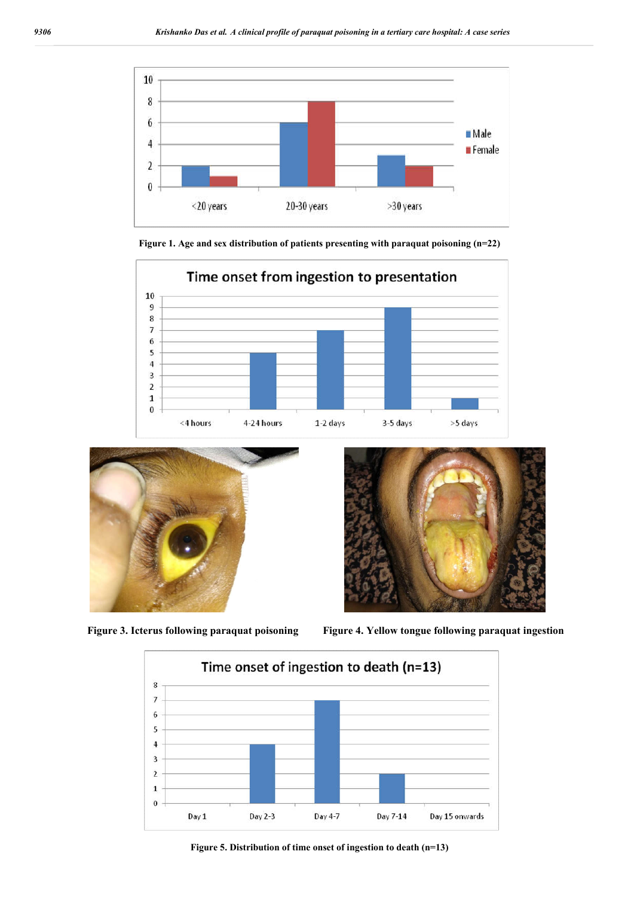

**Figure 1. Age and sex distribution of patients presenting with paraquat poisoning (n=22)**







**Figure 3. Icterus following paraquat poisoning Figure 4. Yellow tongue following paraquat ingestion**



**Figure 5. Distribution of time onset of ingestion to death (n=13)**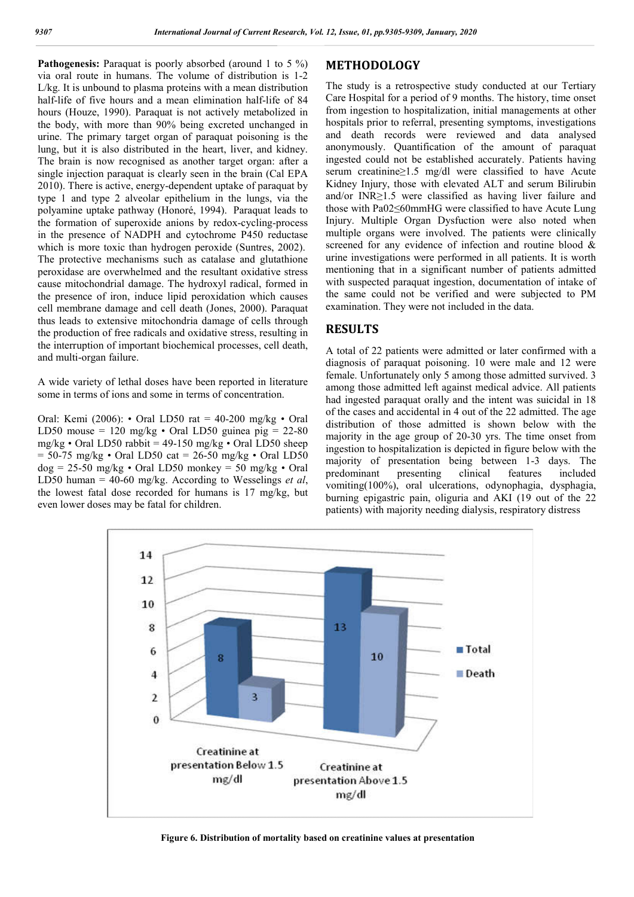Pathogenesis: Paraquat is poorly absorbed (around 1 to 5 %) via oral route in humans. The volume of distribution is 1-2 L/kg. It is unbound to plasma proteins with a mean distribution half-life of five hours and a mean elimination half-life of 84 hours (Houze, 1990). Paraquat is not actively metabolized in the body, with more than 90% being excreted unchanged in urine. The primary target organ of paraquat poisoning is the lung, but it is also distributed in the heart, liver, and kidney. The brain is now recognised as another target organ: after a single injection paraquat is clearly seen in the brain (Cal EPA 2010). There is active, energy-dependent uptake of paraquat by type 1 and type 2 alveolar epithelium in the lungs, via the polyamine uptake pathway (Honoré, 1994). Paraquat leads to the formation of superoxide anions by redox-cycling-process in the presence of NADPH and cytochrome P450 reductase which is more toxic than hydrogen peroxide (Suntres, 2002). The protective mechanisms such as catalase and glutathione peroxidase are overwhelmed and the resultant oxidative stress cause mitochondrial damage. The hydroxyl radical, formed in the presence of iron, induce lipid peroxidation which causes cell membrane damage and cell death (Jones, 2000). Paraquat thus leads to extensive mitochondria damage of cells through the production of free radicals and oxidative stress, resulting in the interruption of important biochemical processes, cell death, and multi-organ failure.

A wide variety of lethal doses have been reported in literature some in terms of ions and some in terms of concentration.

Oral: Kemi (2006): • Oral LD50 rat = 40-200 mg/kg • Oral LD50 mouse = 120 mg/kg  $\cdot$  Oral LD50 guinea pig = 22-80 mg/kg • Oral LD50 rabbit = 49-150 mg/kg • Oral LD50 sheep = 50-75 mg/kg • Oral LD50 cat = 26-50 mg/kg • Oral LD50  $dog = 25-50$  mg/kg • Oral LD50 monkey = 50 mg/kg • Oral LD50 human = 40-60 mg/kg. According to Wesselings *et al*, the lowest fatal dose recorded for humans is 17 mg/kg, but even lower doses may be fatal for children.

## **METHODOLOGY**

The study is a retrospective study conducted at our Tertiary Care Hospital for a period of 9 months. The history, time onset from ingestion to hospitalization, initial managements at other hospitals prior to referral, presenting symptoms, investigations and death records were reviewed and data analysed anonymously. Quantification of the amount of paraquat ingested could not be established accurately. Patients having serum creatinine≥1.5 mg/dl were classified to have Acute Kidney Injury, those with elevated ALT and serum Bilirubin and/or INR≥1.5 were classified as having liver failure and those with Pa02≤60mmHG were classified to have Acute Lung Injury. Multiple Organ Dysfuction were also noted when multiple organs were involved. The patients were clinically screened for any evidence of infection and routine blood & urine investigations were performed in all patients. It is worth mentioning that in a significant number of patients admitted with suspected paraquat ingestion, documentation of intake of the same could not be verified and were subjected to PM examination. They were not included in the data.

#### **RESULTS**

A total of 22 patients were admitted or later confirmed with a diagnosis of paraquat poisoning. 10 were male and 12 were female. Unfortunately only 5 among those admitted survived. 3 among those admitted left against medical advice. All patients had ingested paraquat orally and the intent was suicidal in 18 of the cases and accidental in 4 out of the 22 admitted. The age distribution of those admitted is shown below with the majority in the age group of 20-30 yrs. The time onset from ingestion to hospitalization is depicted in figure below with the majority of presentation being between 1-3 days. The predominant presenting clinical features included vomiting(100%), oral ulcerations, odynophagia, dysphagia, burning epigastric pain, oliguria and AKI (19 out of the 22 patients) with majority needing dialysis, respiratory distress



**Figure 6. Distribution of mortality based on creatinine values at presentation**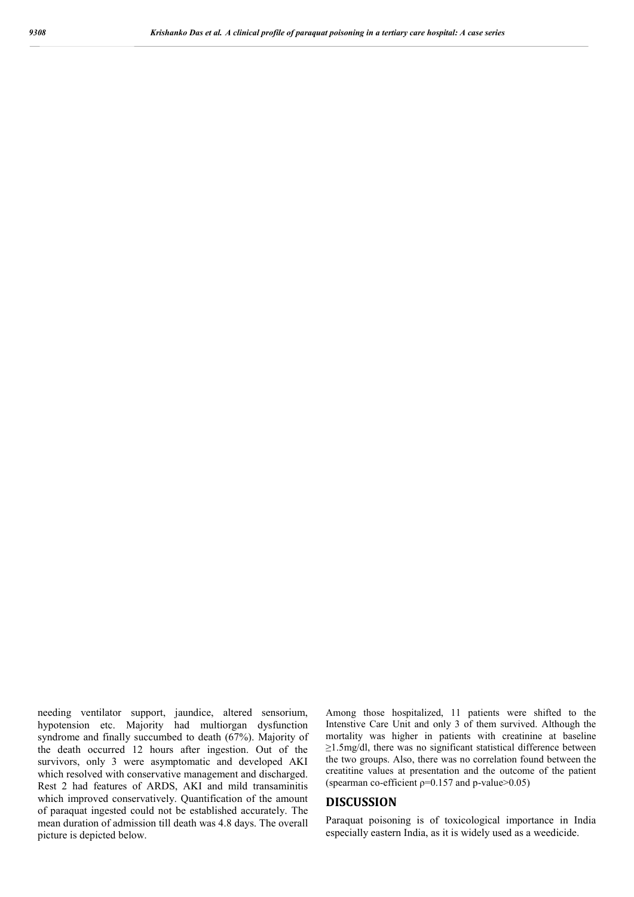needing ventilator support, jaundice, altered sensorium, hypotension etc. Majority had multiorgan dysfunction syndrome and finally succumbed to death (67%). Majority of the death occurred 12 hours after ingestion. Out of the survivors, only 3 were asymptomatic and developed AKI which resolved with conservative management and discharged. Rest 2 had features of ARDS, AKI and mild transaminitis which improved conservatively. Quantification of the amount of paraquat ingested could not be established accurately. The mean duration of admission till death was 4.8 days. The overall picture is depicted below.

Among those hospitalized, 11 patients were shifted to the Intenstive Care Unit and only 3 of them survived. Although the mortality was higher in patients with creatinine at baseline ≥1.5mg/dl, there was no significant statistical difference between the two groups. Also, there was no correlation found between the creatitine values at presentation and the outcome of the patient (spearman co-efficient  $p=0.157$  and p-value $>0.05$ )

# **DISCUSSION**

Paraquat poisoning is of toxicological importance in India especially eastern India, as it is widely used as a weedicide.